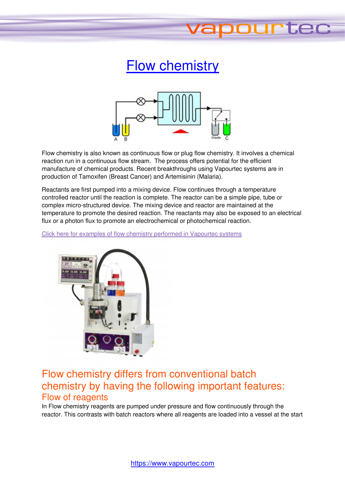# **Flow chemistry**

tee



Flow chemistry is also known as continuous flow or plug flow chemistry. It involves a chemical reaction run in a continuous flow stream. The process offers potential for the efficient manufacture of chemical products. Recent breakthroughs using Vapourtec systems are in production of Tamoxifen (Breast Cancer) and Artemisinin (Malaria).

Reactants are first pumped into a mixing device. Flow continues through a temperature controlled reactor until the reaction is complete. The reactor can be a simple pipe, tube or complex micro-structured device. The mixing device and reactor are maintained at the temperature to promote the desired reaction. The reactants may also be exposed to an electrical flux or a photon flux to promote an electrochemical or photochemical reaction. irst pumped<br>:or until the re<br>structured de

Click here for examples of flow chemistry performed in Vapourtec systems



## Flow chemistry differs from conventional batch chemistry by having the following important features: Flow of reagents

In Flow chemistry reagents are pumped under pressure and flow continuously through the reactor. This contrasts with batch reactors where all reagents are loaded into a vessel at the start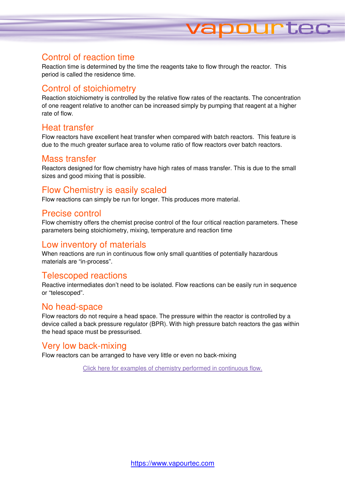## Control of reaction time

Reaction time is determined by the time the reagents take to flow through the reactor. This period is called the residence time.

**TUPFE** 

## Control of stoichiometry

Reaction stoichiometry is controlled by the relative flow rates of the reactants. The concentration of one reagent relative to another can be increased simply by pumping that reagent at a higher rate of flow.

## Heat transfer

Flow reactors have excellent heat transfer when compared with batch reactors. This feature is due to the much greater surface area to volume ratio of flow reactors over batch reactors.

## Mass transfer

Reactors designed for flow chemistry have high rates of mass transfer. This is due to the small sizes and good mixing that is possible.

## Flow Chemistry is easily scaled

Flow reactions can simply be run for longer. This produces more material.

#### Precise control

Flow chemistry offers the chemist precise control of the four critical reaction parameters. These parameters being stoichiometry, mixing, temperature and reaction time

#### Low inventory of materials

When reactions are run in continuous flow only small quantities of potentially hazardous materials are "in-process".

#### Telescoped reactions

Reactive intermediates don't need to be isolated. Flow reactions can be easily run in sequence or "telescoped". quantities<br>w reactions<br>sure within

### No head-space

Flow reactors do not require a head space. The pressure within the reactor is controlled by a device called a back pressure regulator (BPR). With high pressure batch reactors the gas within the head space must be pressurised.

#### Very low back-mixing

Flow reactors can be arranged to have very little or even no back-mixing

Click here for examples of chemistry performed in continuous flow.